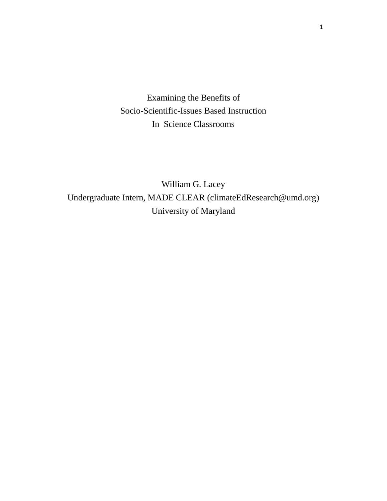Examining the Benefits of Socio-Scientific-Issues Based Instruction In Science Classrooms

William G. Lacey Undergraduate Intern, MADE CLEAR (climateEdResearch@umd.org) University of Maryland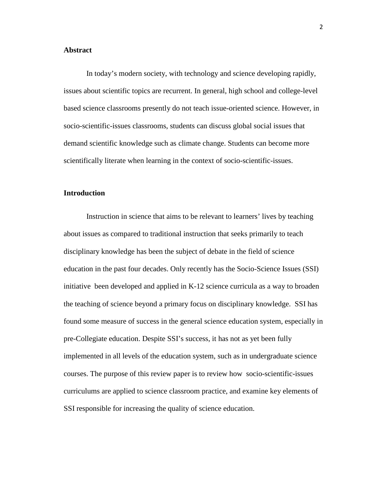# **Abstract**

In today's modern society, with technology and science developing rapidly, issues about scientific topics are recurrent. In general, high school and college-level based science classrooms presently do not teach issue-oriented science. However, in socio-scientific-issues classrooms, students can discuss global social issues that demand scientific knowledge such as climate change. Students can become more scientifically literate when learning in the context of socio-scientific-issues.

# **Introduction**

Instruction in science that aims to be relevant to learners' lives by teaching about issues as compared to traditional instruction that seeks primarily to teach disciplinary knowledge has been the subject of debate in the field of science education in the past four decades. Only recently has the Socio-Science Issues (SSI) initiative been developed and applied in K-12 science curricula as a way to broaden the teaching of science beyond a primary focus on disciplinary knowledge. SSI has found some measure of success in the general science education system, especially in pre-Collegiate education. Despite SSI's success, it has not as yet been fully implemented in all levels of the education system, such as in undergraduate science courses. The purpose of this review paper is to review how socio-scientific-issues curriculums are applied to science classroom practice, and examine key elements of SSI responsible for increasing the quality of science education.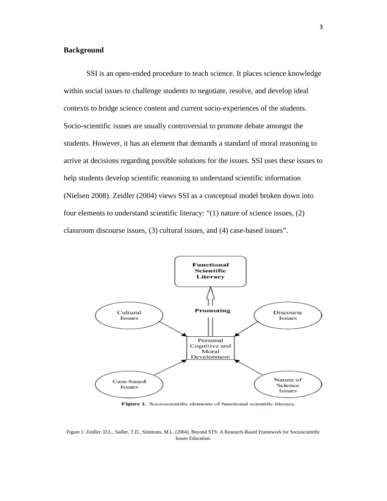# **Background**

SSI is an open-ended procedure to teach science. It places science knowledge within social issues to challenge students to negotiate, resolve, and develop ideal contexts to bridge science content and current socio-experiences of the students. Socio-scientific issues are usually controversial to promote debate amongst the students. However, it has an element that demands a standard of moral reasoning to arrive at decisions regarding possible solutions for the issues. SSI uses these issues to help students develop scientific reasoning to understand scientific information (Nielsen 2008). Zeidler (2004) views SSI as a conceptual model broken down into four elements to understand scientific literacy: "(1) nature of science issues, (2) classroom discourse issues, (3) cultural issues, and (4) case-based issues".



Figure 1. Socioscientific elements of functional scientific literacy.

Figure 1: Zeidler, D.L., Sadler, T.D., Simmons, M.L. (2004). Beyond STS: A Research-Based Framework for Socioscientific Issues Education.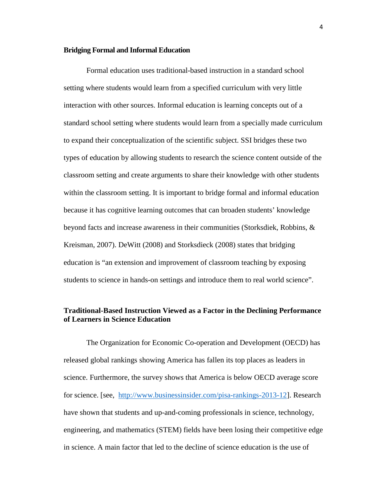#### **Bridging Formal and Informal Education**

Formal education uses traditional-based instruction in a standard school setting where students would learn from a specified curriculum with very little interaction with other sources. Informal education is learning concepts out of a standard school setting where students would learn from a specially made curriculum to expand their conceptualization of the scientific subject. SSI bridges these two types of education by allowing students to research the science content outside of the classroom setting and create arguments to share their knowledge with other students within the classroom setting. It is important to bridge formal and informal education because it has cognitive learning outcomes that can broaden students' knowledge beyond facts and increase awareness in their communities (Storksdiek, Robbins, & Kreisman, 2007). DeWitt (2008) and Storksdieck (2008) states that bridging education is "an extension and improvement of classroom teaching by exposing students to science in hands-on settings and introduce them to real world science".

# **Traditional-Based Instruction Viewed as a Factor in the Declining Performance of Learners in Science Education**

The Organization for Economic Co-operation and Development (OECD) has released global rankings showing America has fallen its top places as leaders in science. Furthermore, the survey shows that America is below OECD average score for science. [see, [http://www.businessinsider.com/pisa-rankings-2013-12\]](http://www.businessinsider.com/pisa-rankings-2013-12). Research have shown that students and up-and-coming professionals in science, technology, engineering, and mathematics (STEM) fields have been losing their competitive edge in science. A main factor that led to the decline of science education is the use of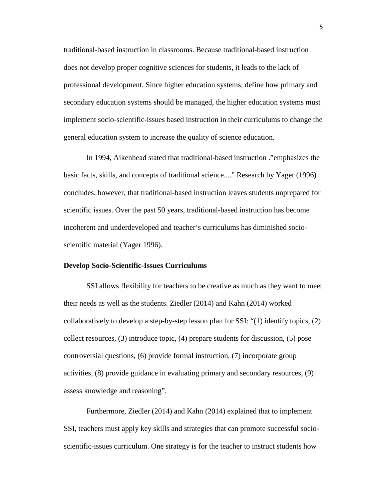traditional-based instruction in classrooms. Because traditional-based instruction does not develop proper cognitive sciences for students, it leads to the lack of professional development. Since higher education systems, define how primary and secondary education systems should be managed, the higher education systems must implement socio-scientific-issues based instruction in their curriculums to change the general education system to increase the quality of science education.

In 1994, Aikenhead stated that traditional-based instruction ."emphasizes the basic facts, skills, and concepts of traditional science...." Research by Yager (1996) concludes, however, that traditional-based instruction leaves students unprepared for scientific issues. Over the past 50 years, traditional-based instruction has become incoherent and underdeveloped and teacher's curriculums has diminished socioscientific material (Yager 1996).

### **Develop Socio-Scientific-Issues Curriculums**

SSI allows flexibility for teachers to be creative as much as they want to meet their needs as well as the students. Ziedler (2014) and Kahn (2014) worked collaboratively to develop a step-by-step lesson plan for SSI: "(1) identify topics, (2) collect resources, (3) introduce topic, (4) prepare students for discussion, (5) pose controversial questions, (6) provide formal instruction, (7) incorporate group activities, (8) provide guidance in evaluating primary and secondary resources, (9) assess knowledge and reasoning".

Furthermore, Ziedler (2014) and Kahn (2014) explained that to implement SSI, teachers must apply key skills and strategies that can promote successful socioscientific-issues curriculum. One strategy is for the teacher to instruct students how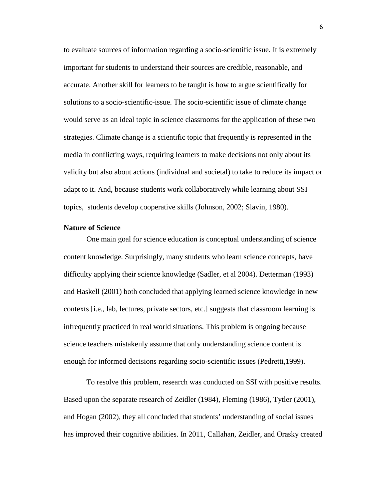to evaluate sources of information regarding a socio-scientific issue. It is extremely important for students to understand their sources are credible, reasonable, and accurate. Another skill for learners to be taught is how to argue scientifically for solutions to a socio-scientific-issue. The socio-scientific issue of climate change would serve as an ideal topic in science classrooms for the application of these two strategies. Climate change is a scientific topic that frequently is represented in the media in conflicting ways, requiring learners to make decisions not only about its validity but also about actions (individual and societal) to take to reduce its impact or adapt to it. And, because students work collaboratively while learning about SSI topics, students develop cooperative skills (Johnson, 2002; Slavin, 1980).

# **Nature of Science**

One main goal for science education is conceptual understanding of science content knowledge. Surprisingly, many students who learn science concepts, have difficulty applying their science knowledge (Sadler, et al 2004). Detterman (1993) and Haskell (2001) both concluded that applying learned science knowledge in new contexts [i.e., lab, lectures, private sectors, etc.] suggests that classroom learning is infrequently practiced in real world situations. This problem is ongoing because science teachers mistakenly assume that only understanding science content is enough for informed decisions regarding socio-scientific issues (Pedretti,1999).

To resolve this problem, research was conducted on SSI with positive results. Based upon the separate research of Zeidler (1984), Fleming (1986), Tytler (2001), and Hogan (2002), they all concluded that students' understanding of social issues has improved their cognitive abilities. In 2011, Callahan, Zeidler, and Orasky created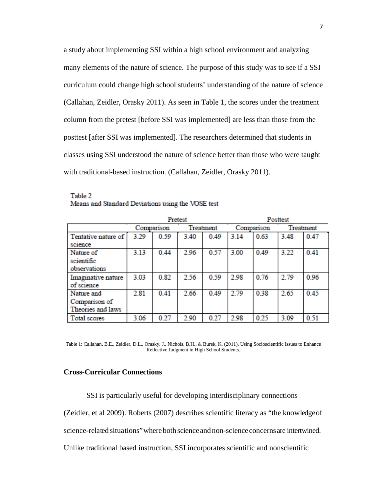a study about implementing SSI within a high school environment and analyzing many elements of the nature of science. The purpose of this study was to see if a SSI curriculum could change high school students' understanding of the nature of science (Callahan, Zeidler, Orasky 2011). As seen in Table 1, the scores under the treatment column from the pretest [before SSI was implemented] are less than those from the posttest [after SSI was implemented]. The researchers determined that students in classes using SSI understood the nature of science better than those who were taught with traditional-based instruction. (Callahan, Zeidler, Orasky 2011).

|                                                  | Pretest    |      |           |      | Posttest   |      |           |      |
|--------------------------------------------------|------------|------|-----------|------|------------|------|-----------|------|
|                                                  | Comparison |      | Treatment |      | Comparison |      | Treatment |      |
| Tentative nature of<br>science                   | 3.29       | 0.59 | 3.40      | 0.49 | 3.14       | 0.63 | 3.48      | 0.47 |
| Nature of<br>scientific<br>observations          | 3.13       | 0.44 | 2.96      | 0.57 | 3.00       | 0.49 | 3.22      | 0.41 |
| Imaginative nature<br>of science                 | 3.03       | 0.82 | 2.56      | 0.59 | 2.98       | 0.76 | 2.79      | 0.96 |
| Nature and<br>Comparison of<br>Theories and laws | 2.81       | 0.41 | 2.66      | 0.49 | 2.79       | 0.38 | 2.65      | 0.45 |
| Total scores                                     | 3.06       | 0.27 | 2.90      | 0.27 | 2.98       | 0.25 | 3.09      | 0.51 |

Table 2 Means and Standard Deviations using the VOSE test

Table 1: Callahan, B.E., Zeidler, D.L., Orasky, J., Nichols, B.H., & Burek, K. (2011). Using Socioscientific Issues to Enhance Reflective Judgment in High School Students.

# **Cross-Curricular Connections**

SSI is particularly useful for developing interdisciplinary connections

(Zeidler, et al 2009). Roberts (2007) describes scientific literacy as "the knowledgeof

science-related situations"whereboth scienceand non-scienceconcernsare intertwined.

Unlike traditional based instruction, SSI incorporates scientific and nonscientific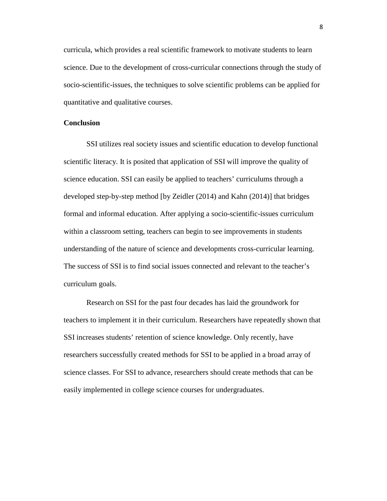curricula, which provides a real scientific framework to motivate students to learn science. Due to the development of cross-curricular connections through the study of socio-scientific-issues, the techniques to solve scientific problems can be applied for quantitative and qualitative courses.

# **Conclusion**

SSI utilizes real society issues and scientific education to develop functional scientific literacy. It is posited that application of SSI will improve the quality of science education. SSI can easily be applied to teachers' curriculums through a developed step-by-step method [by Zeidler (2014) and Kahn (2014)] that bridges formal and informal education. After applying a socio-scientific-issues curriculum within a classroom setting, teachers can begin to see improvements in students understanding of the nature of science and developments cross-curricular learning. The success of SSI is to find social issues connected and relevant to the teacher's curriculum goals.

Research on SSI for the past four decades has laid the groundwork for teachers to implement it in their curriculum. Researchers have repeatedly shown that SSI increases students' retention of science knowledge. Only recently, have researchers successfully created methods for SSI to be applied in a broad array of science classes. For SSI to advance, researchers should create methods that can be easily implemented in college science courses for undergraduates.

8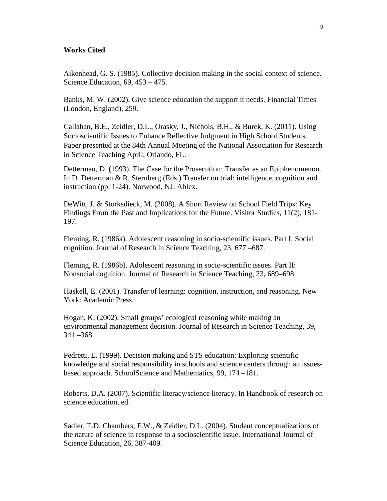# **Works Cited**

Aikenhead, G. S. (1985). Collective decision making in the social context of science. Science Education, 69, 453 – 475.

Banks, M. W. (2002). Give science education the support it needs. Financial Times (London, England), 259.

Callahan, B.E., Zeidler, D.L., Orasky, J., Nichols, B.H., & Burek, K. (2011). Using Socioscientific Issues to Enhance Reflective Judgment in High School Students. Paper presented at the 84th Annual Meeting of the National Association for Research in Science Teaching April, Orlando, FL.

Detterman, D. (1993). The Case for the Prosecution: Transfer as an Epiphenomenon. In D. Detterman & R. Sternberg (Eds.) Transfer on trial: intelligence, cognition and instruction (pp. 1-24). Norwood, NJ: Ablex.

DeWitt, J. & Storksdieck, M. (2008). A Short Review on School Field Trips: Key Findings From the Past and Implications for the Future. Visitor Studies, 11(2), 181- 197.

Fleming, R. (1986a). Adolescent reasoning in socio-scientific issues. Part I: Social cognition. Journal of Research in Science Teaching, 23, 677 –687.

Fleming, R. (1986b). Adolescent reasoning in socio-scientific issues. Part II: Nonsocial cognition. Journal of Research in Science Teaching, 23, 689–698.

Haskell, E. (2001). Transfer of learning: cognition, instruction, and reasoning. New York: Academic Press.

Hogan, K. (2002). Small groups' ecological reasoning while making an environmental management decision. Journal of Research in Science Teaching, 39, 341 –368.

Pedretti, E. (1999). Decision making and STS education: Exploring scientific knowledge and social responsibility in schools and science centers through an issuesbased approach. SchoolScience and Mathematics, 99, 174 –181.

Roberts, D.A. (2007). Scientific literacy/science literacy. In Handbook of research on science education, ed.

Sadler, T.D. Chambers, F.W., & Zeidler, D.L. (2004). Student conceptualizations of the nature of science in response to a socioscientific issue. International Journal of Science Education, 26, 387-409.